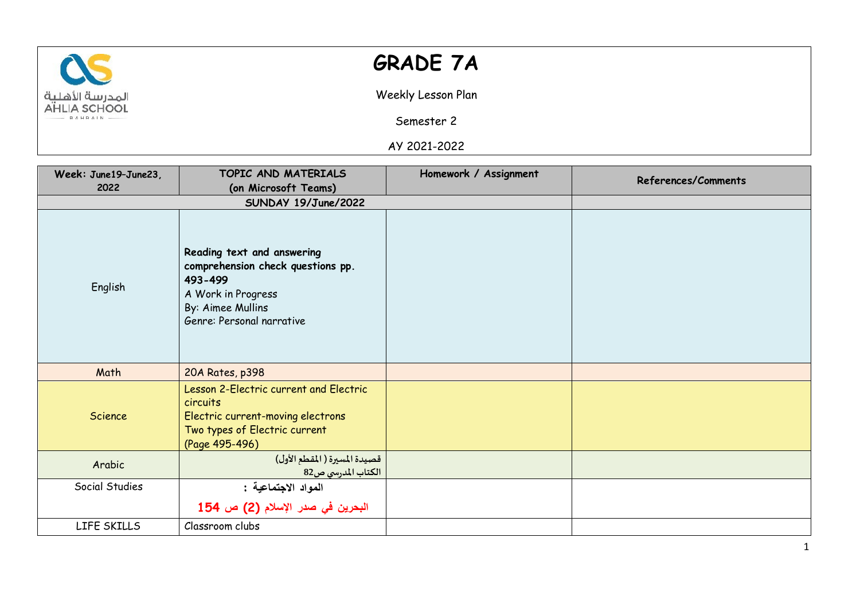

## **GRADE 7A**

Weekly Lesson Plan

Semester 2

AY 2021-2022

| Week: June19-June23, | TOPIC AND MATERIALS                                                                                                                                | Homework / Assignment | <b>References/Comments</b> |
|----------------------|----------------------------------------------------------------------------------------------------------------------------------------------------|-----------------------|----------------------------|
| 2022                 | (on Microsoft Teams)                                                                                                                               |                       |                            |
|                      | SUNDAY 19/June/2022                                                                                                                                |                       |                            |
| English              | Reading text and answering<br>comprehension check questions pp.<br>493-499<br>A Work in Progress<br>By: Aimee Mullins<br>Genre: Personal narrative |                       |                            |
| Math                 | 20A Rates, p398                                                                                                                                    |                       |                            |
| Science              | Lesson 2-Electric current and Electric<br>circuits<br>Electric current-moving electrons<br>Two types of Electric current<br>(Page 495-496)         |                       |                            |
| Arabic               | قصيدة المسيرة ( المقطع الأول)<br>الكتاب المدرسي ص82                                                                                                |                       |                            |
| Social Studies       | المواد الاجتماعية :                                                                                                                                |                       |                            |
|                      | البحرين في صدر الإسلام (2) ص 154                                                                                                                   |                       |                            |
| LIFE SKILLS          | Classroom clubs                                                                                                                                    |                       |                            |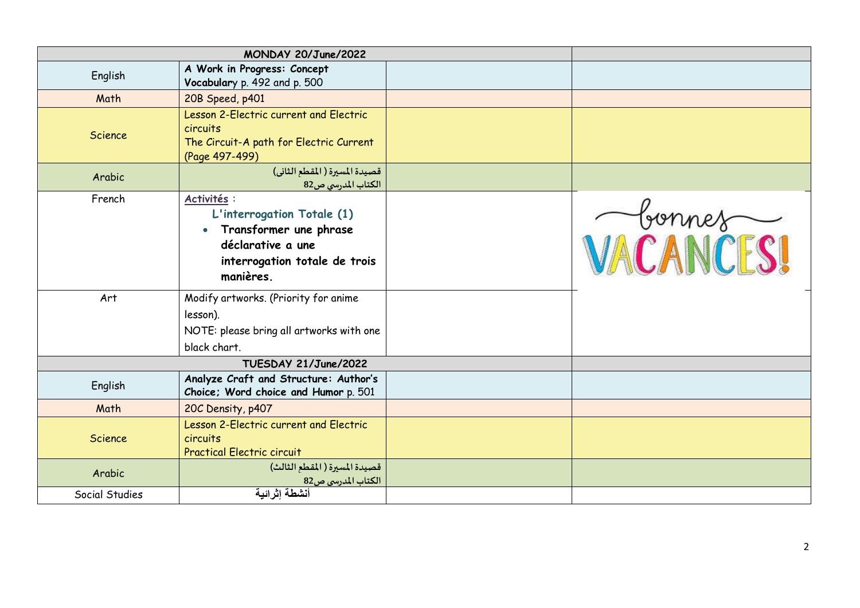| MONDAY 20/June/2022  |                                                                                                                                                     |  |           |
|----------------------|-----------------------------------------------------------------------------------------------------------------------------------------------------|--|-----------|
| English              | A Work in Progress: Concept<br>Vocabulary p. 492 and p. 500                                                                                         |  |           |
| Math                 | 20B Speed, p401                                                                                                                                     |  |           |
| <b>Science</b>       | Lesson 2-Electric current and Electric<br>circuits<br>The Circuit-A path for Electric Current<br>(Page 497-499)                                     |  |           |
| Arabic               | قصيدة المسيرة ( المقطع الثاني)<br>الكتاب المدرسي ص82                                                                                                |  |           |
| French               | Activités :<br>L'interrogation Totale (1)<br>Transformer une phrase<br>$\bullet$<br>déclarative a une<br>interrogation totale de trois<br>manières. |  | VACANCESI |
| Art                  | Modify artworks. (Priority for anime<br>lesson).<br>NOTE: please bring all artworks with one<br>black chart.                                        |  |           |
| TUESDAY 21/June/2022 |                                                                                                                                                     |  |           |
| English              | Analyze Craft and Structure: Author's<br>Choice; Word choice and Humor p. 501                                                                       |  |           |
| Math                 | 20C Density, p407                                                                                                                                   |  |           |
| Science              | Lesson 2-Electric current and Electric<br>circuits<br><b>Practical Electric circuit</b>                                                             |  |           |
| Arabic               | قصيدة المسيرة (المقطع الثالث)<br>الكتاب المدرسي ص82                                                                                                 |  |           |
| Social Studies       | أنشطة إثرائية                                                                                                                                       |  |           |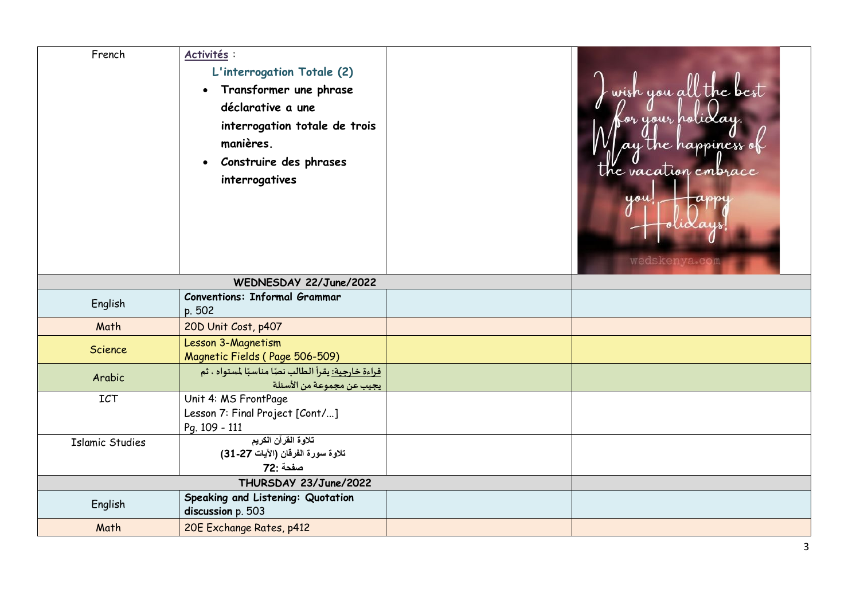| French                 | Activités :<br>L'interrogation Totale (2)<br>Transformer une phrase<br>$\bullet$<br>déclarative a une<br>interrogation totale de trois<br>manières.<br>Construire des phrases<br>$\bullet$<br>interrogatives |  | wish you all the best<br>or your holid<br>the happiness<br>the vacation embrace<br>you<br>ansnu<br>wedskenya.com |  |
|------------------------|--------------------------------------------------------------------------------------------------------------------------------------------------------------------------------------------------------------|--|------------------------------------------------------------------------------------------------------------------|--|
| WEDNESDAY 22/June/2022 |                                                                                                                                                                                                              |  |                                                                                                                  |  |
| English                | <b>Conventions: Informal Grammar</b><br>p. 502                                                                                                                                                               |  |                                                                                                                  |  |
| Math                   | 20D Unit Cost, p407                                                                                                                                                                                          |  |                                                                                                                  |  |
| Science                | Lesson 3-Magnetism<br>Magnetic Fields (Page 506-509)                                                                                                                                                         |  |                                                                                                                  |  |
| Arabic                 | <mark>قراءة خارجية: يقرأ الطالب نصًا مناسبًا لمستواه ، ثم</mark><br>يجيب عن مجموعة من الأسئلة                                                                                                                |  |                                                                                                                  |  |
| ICT                    | Unit 4: MS FrontPage<br>Lesson 7: Final Project [Cont/]<br>Pg. 109 - 111                                                                                                                                     |  |                                                                                                                  |  |
| <b>Islamic Studies</b> | تلاوة القرآن الكريم<br>تلاوة سورة الفرقان (الآيات 27-31)<br>صفحة :72                                                                                                                                         |  |                                                                                                                  |  |
| THURSDAY 23/June/2022  |                                                                                                                                                                                                              |  |                                                                                                                  |  |
| English                | Speaking and Listening: Quotation<br>discussion p. 503                                                                                                                                                       |  |                                                                                                                  |  |
| Math                   | 20E Exchange Rates, p412                                                                                                                                                                                     |  |                                                                                                                  |  |